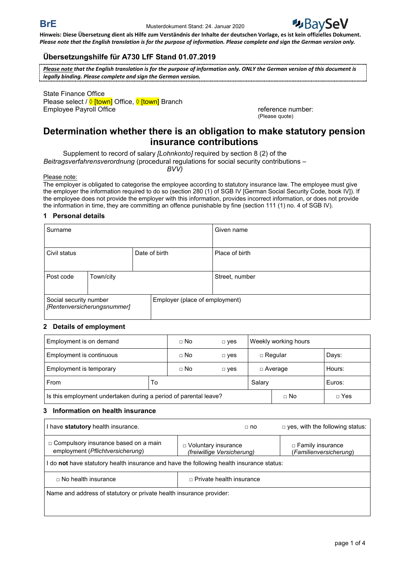

## **Übersetzungshilfe für A730 LfF Stand 01.07.2019**

*Please note that the English translation is for the purpose of information only. ONLY the German version of this document is legally binding. Please complete and sign the German version.*

State Finance Office Please select / <u>♦ [town</u>] Office, <u>♦ [town]</u> Branch Employee Payroll Office **Reference in the Contract of Contract Contract Contract Contract Contract Contract Contract Contract Contract Contract Contract Contract Contract Contract Contract Contract Contract Contract Contra** 

(Please quote)

# **Determination whether there is an obligation to make statutory pension insurance contributions**

Supplement to record of salary *[Lohnkonto]* required by section 8 (2) of the

*Beitragsverfahrensverordnung* (procedural regulations for social security contributions –

*BVV)*

Please note:

The employer is obligated to categorise the employee according to statutory insurance law. The employee must give the employer the information required to do so (section 280 (1) of SGB IV [German Social Security Code, book IV]). If the employee does not provide the employer with this information, provides incorrect information, or does not provide the information in time, they are committing an offence punishable by fine (section 111 (1) no. 4 of SGB IV).

## **1 Personal details**

| Surname                                               |           |                                |               | Given name     |
|-------------------------------------------------------|-----------|--------------------------------|---------------|----------------|
| Civil status                                          |           |                                | Date of birth | Place of birth |
| Post code                                             | Town/city |                                |               | Street, number |
| Social security number<br>[Rentenversicherungsnummer] |           | Employer (place of employment) |               |                |

#### **2 Details of employment**

| Employment is on demand                                          | $\Box$ No   | $\square$ yes | Weekly working hours |             |            |
|------------------------------------------------------------------|-------------|---------------|----------------------|-------------|------------|
| Employment is continuous                                         | $\sqcap$ No | $\Box$ yes    | $\Box$ Regular       |             | Days:      |
| Employment is temporary                                          | $\sqcap$ No | $\Box$ yes    | □ Average            |             | Hours:     |
| From                                                             |             |               | Salary               |             | Euros:     |
| Is this employment undertaken during a period of parental leave? |             |               |                      | $\sqcap$ No | $\Box$ Yes |

#### **3 Information on health insurance**

| I have statutory health insurance.                                                       | $\sqcap$ no                                              | $\Box$ yes, with the following status:            |  |  |  |  |
|------------------------------------------------------------------------------------------|----------------------------------------------------------|---------------------------------------------------|--|--|--|--|
| □ Compulsory insurance based on a main<br>employment (Pflichtversicherung)               | $\Box$ Voluntary insurance<br>(freiwillige Versicherung) | $\Box$ Family insurance<br>(Familienversicherung) |  |  |  |  |
| I do not have statutory health insurance and have the following health insurance status: |                                                          |                                                   |  |  |  |  |
| $\Box$ Private health insurance<br>$\Box$ No health insurance                            |                                                          |                                                   |  |  |  |  |
| Name and address of statutory or private health insurance provider:                      |                                                          |                                                   |  |  |  |  |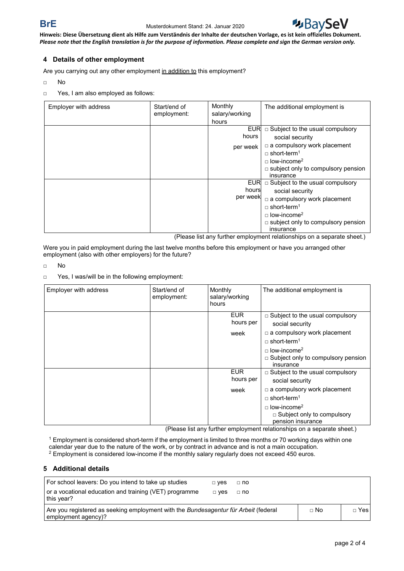

## **4 Details of other employment**

Are you carrying out any other employment in addition to this employment?

- □ No
- □ Yes, I am also employed as follows:

| Employer with address | Start/end of<br>employment: | Monthly<br>salary/working<br>hours | The additional employment is                                                                                                                                                                                                  |
|-----------------------|-----------------------------|------------------------------------|-------------------------------------------------------------------------------------------------------------------------------------------------------------------------------------------------------------------------------|
|                       |                             | <b>EUR</b><br>hours<br>per week    | $\Box$ Subject to the usual compulsory<br>social security<br>$\Box$ a compulsory work placement<br>$\Box$ short-term <sup>1</sup><br>$\Box$ low-income <sup>2</sup>                                                           |
|                       |                             |                                    | $\Box$ subject only to compulsory pension<br>insurance                                                                                                                                                                        |
|                       |                             | <b>EUR</b><br>hours<br>per week    | $\Box$ Subject to the usual compulsory<br>social security<br>$\Box$ a compulsory work placement<br>$\Box$ short-term <sup>1</sup><br>$\Box$ low-income <sup>2</sup><br>$\Box$ subject only to compulsory pension<br>insurance |

(Please list any further employment relationships on a separate sheet.)

Were you in paid employment during the last twelve months before this employment or have you arranged other employment (also with other employers) for the future?

□ No

<sup>□</sup> Yes, I was/will be in the following employment:

| Employer with address | Start/end of<br>employment: | Monthly<br>salary/working<br>hours | The additional employment is                                                             |
|-----------------------|-----------------------------|------------------------------------|------------------------------------------------------------------------------------------|
|                       |                             | <b>EUR</b><br>hours per            | $\Box$ Subject to the usual compulsory<br>social security                                |
|                       |                             | week                               | $\Box$ a compulsory work placement<br>$\Box$ short-term <sup>1</sup>                     |
|                       |                             |                                    | $\Box$ low-income <sup>2</sup><br>$\Box$ Subject only to compulsory pension<br>insurance |
|                       |                             | <b>EUR</b><br>hours per            | □ Subject to the usual compulsory<br>social security                                     |
|                       |                             | week                               | $\Box$ a compulsory work placement<br>$\Box$ short-term <sup>1</sup>                     |
|                       |                             |                                    | $\Box$ low-income <sup>2</sup><br>$\Box$ Subject only to compulsory<br>pension insurance |

(Please list any further employment relationships on a separate sheet.)

<sup>1</sup> Employment is considered short-term if the employment is limited to three months or 70 working days within one calendar year due to the nature of the work, or by contract in advance and is not a main occupation. <sup>2</sup> Employment is considered low-income if the monthly salary regularly does not exceed 450 euros.

#### **5 Additional details**

| For school leavers: Do you intend to take up studies                                                       | □ Ves | $\Box$ no |             |        |
|------------------------------------------------------------------------------------------------------------|-------|-----------|-------------|--------|
| or a vocational education and training (VET) programme<br>this year?                                       | □ Ves | $\Box$ no |             |        |
| Are you registered as seeking employment with the Bundesagentur für Arbeit (federal<br>employment agency)? |       |           | $\sqcap$ No | □ Yesl |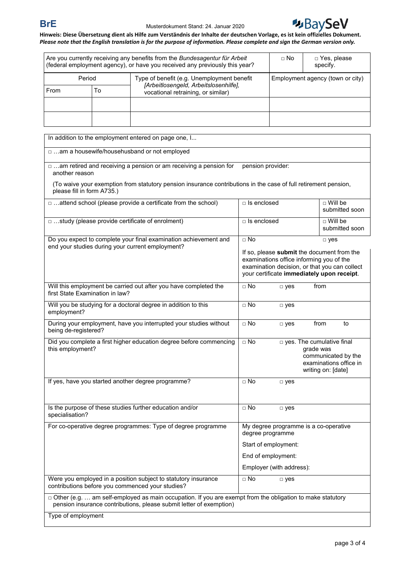

| Are you currently receiving any benefits from the Bundesagentur für Arbeit<br>(federal employment agency), or have you received any previously this year? |    | $\Box$ No                                                                           | □ Yes, please<br>specify.        |  |  |
|-----------------------------------------------------------------------------------------------------------------------------------------------------------|----|-------------------------------------------------------------------------------------|----------------------------------|--|--|
| Period                                                                                                                                                    |    | Type of benefit (e.g. Unemployment benefit<br>[Arbeitlosengeld, Arbeitslosenhilfe], | Employment agency (town or city) |  |  |
| From                                                                                                                                                      | To | vocational retraining, or similar)                                                  |                                  |  |  |
|                                                                                                                                                           |    |                                                                                     |                                  |  |  |
|                                                                                                                                                           |    |                                                                                     |                                  |  |  |

| In addition to the employment entered on page one, I                                                                                          |                                                                                                                                                                                       |                                    |  |  |  |  |
|-----------------------------------------------------------------------------------------------------------------------------------------------|---------------------------------------------------------------------------------------------------------------------------------------------------------------------------------------|------------------------------------|--|--|--|--|
| □ am a housewife/househusband or not employed                                                                                                 |                                                                                                                                                                                       |                                    |  |  |  |  |
| □ am retired and receiving a pension or am receiving a pension for<br>pension provider:<br>another reason                                     |                                                                                                                                                                                       |                                    |  |  |  |  |
| (To waive your exemption from statutory pension insurance contributions in the case of full retirement pension,<br>please fill in form A735.) |                                                                                                                                                                                       |                                    |  |  |  |  |
| □ attend school (please provide a certificate from the school)                                                                                | $\Box$ Is enclosed                                                                                                                                                                    | $\Box$ Will be<br>submitted soon   |  |  |  |  |
| □ study (please provide certificate of enrolment)                                                                                             | $\Box$ Is enclosed                                                                                                                                                                    | $\sqcap$ Will be<br>submitted soon |  |  |  |  |
| Do you expect to complete your final examination achievement and<br>end your studies during your current employment?                          | $\Box$ No                                                                                                                                                                             | $\square$ yes                      |  |  |  |  |
|                                                                                                                                               | If so, please submit the document from the<br>examinations office informing you of the<br>examination decision, or that you can collect<br>your certificate immediately upon receipt. |                                    |  |  |  |  |
| Will this employment be carried out after you have completed the<br>first State Examination in law?                                           | $\Box$ No<br>$\Box$ yes                                                                                                                                                               | from                               |  |  |  |  |
| Will you be studying for a doctoral degree in addition to this<br>employment?                                                                 | $\Box$ No<br>$\square$ yes                                                                                                                                                            |                                    |  |  |  |  |
| During your employment, have you interrupted your studies without<br>being de-registered?                                                     | $\Box$ No<br>$\square$ yes                                                                                                                                                            | from<br>to                         |  |  |  |  |
| Did you complete a first higher education degree before commencing<br>this employment?                                                        | $\square$ No<br>p yes. The cumulative final<br>grade was<br>communicated by the<br>examinations office in<br>writing on: [date]                                                       |                                    |  |  |  |  |
| If yes, have you started another degree programme?                                                                                            | $\Box$ No<br>$\Box$ yes                                                                                                                                                               |                                    |  |  |  |  |
| Is the purpose of these studies further education and/or<br>specialisation?                                                                   | $\Box$ No<br>$\square$ yes                                                                                                                                                            |                                    |  |  |  |  |
| For co-operative degree programmes: Type of degree programme                                                                                  | My degree programme is a co-operative<br>degree programme                                                                                                                             |                                    |  |  |  |  |
|                                                                                                                                               | Start of employment:                                                                                                                                                                  |                                    |  |  |  |  |
|                                                                                                                                               | End of employment:                                                                                                                                                                    |                                    |  |  |  |  |
|                                                                                                                                               | Employer (with address):                                                                                                                                                              |                                    |  |  |  |  |
| Were you employed in a position subject to statutory insurance<br>contributions before you commenced your studies?                            | $\Box$ No<br>$\Box$ yes                                                                                                                                                               |                                    |  |  |  |  |
| pension insurance contributions, please submit letter of exemption)                                                                           | □ Other (e.g.  am self-employed as main occupation. If you are exempt from the obligation to make statutory                                                                           |                                    |  |  |  |  |
| Type of employment                                                                                                                            |                                                                                                                                                                                       |                                    |  |  |  |  |